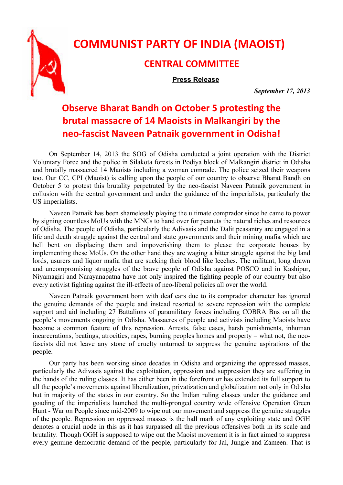

## **COMMUNIST PARTY OF INDIA (MAOIST)**

## **CENTRAL COMMITTEE**

**Press Release**

*September 17, 2013* 

## **Observe Bharat Bandh on October 5 protesting the brutal massacre of 14 Maoists in Malkangiri by the neo‐fascist Naveen Patnaik government in Odisha!**

On September 14, 2013 the SOG of Odisha conducted a joint operation with the District Voluntary Force and the police in Silakota forests in Podiya block of Malkangiri district in Odisha and brutally massacred 14 Maoists including a woman comrade. The police seized their weapons too. Our CC, CPI (Maoist) is calling upon the people of our country to observe Bharat Bandh on October 5 to protest this brutality perpetrated by the neo-fascist Naveen Patnaik government in collusion with the central government and under the guidance of the imperialists, particularly the US imperialists.

Naveen Patnaik has been shamelessly playing the ultimate comprador since he came to power by signing countless MoUs with the MNCs to hand over for peanuts the natural riches and resources of Odisha. The people of Odisha, particularly the Adivasis and the Dalit peasantry are engaged in a life and death struggle against the central and state governments and their mining mafia which are hell bent on displacing them and impoverishing them to please the corporate houses by implementing these MoUs. On the other hand they are waging a bitter struggle against the big land lords, usurers and liquor mafia that are sucking their blood like leeches. The militant, long drawn and uncompromising struggles of the brave people of Odisha against POSCO and in Kashipur, Niyamagiri and Narayanapatna have not only inspired the fighting people of our country but also every activist fighting against the ill-effects of neo-liberal policies all over the world.

Naveen Patnaik government born with deaf ears due to its comprador character has ignored the genuine demands of the people and instead resorted to severe repression with the complete support and aid including 27 Battalions of paramilitary forces including COBRA Bns on all the people's movements ongoing in Odisha. Massacres of people and activists including Maoists have become a common feature of this repression. Arrests, false cases, harsh punishments, inhuman incarcerations, beatings, atrocities, rapes, burning peoples homes and property – what not, the neofascists did not leave any stone of cruelty unturned to suppress the genuine aspirations of the people.

Our party has been working since decades in Odisha and organizing the oppressed masses, particularly the Adivasis against the exploitation, oppression and suppression they are suffering in the hands of the ruling classes. It has either been in the forefront or has extended its full support to all the people's movements against liberalization, privatization and globalization not only in Odisha but in majority of the states in our country. So the Indian ruling classes under the guidance and goading of the imperialists launched the multi-pronged country wide offensive Operation Green Hunt - War on People since mid-2009 to wipe out our movement and suppress the genuine struggles of the people. Repression on oppressed masses is the hall mark of any exploiting state and OGH denotes a crucial node in this as it has surpassed all the previous offensives both in its scale and brutality. Though OGH is supposed to wipe out the Maoist movement it is in fact aimed to suppress every genuine democratic demand of the people, particularly for Jal, Jungle and Zameen. That is